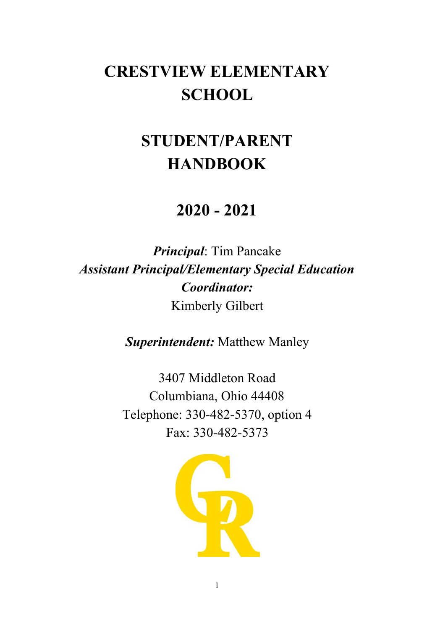# **CRESTVIEW ELEMENTARY SCHOOL**

# **STUDENT/PARENT HANDBOOK**

## **2020 - 2021**

*Principal*: Tim Pancake *Assistant Principal/Elementary Special Education Coordinator:* Kimberly Gilbert

*Superintendent:* Matthew Manley

3407 Middleton Road Columbiana, Ohio 44408 Telephone: 330-482-5370, option 4 Fax: 330-482-5373

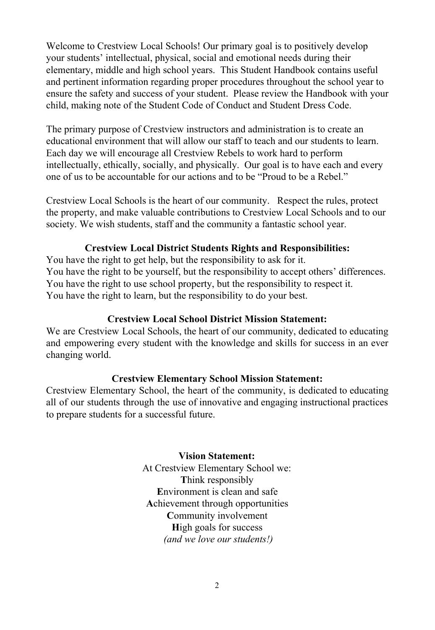Welcome to Crestview Local Schools! Our primary goal is to positively develop your students' intellectual, physical, social and emotional needs during their elementary, middle and high school years. This Student Handbook contains useful and pertinent information regarding proper procedures throughout the school year to ensure the safety and success of your student. Please review the Handbook with your child, making note of the Student Code of Conduct and Student Dress Code.

The primary purpose of Crestview instructors and administration is to create an educational environment that will allow our staff to teach and our students to learn. Each day we will encourage all Crestview Rebels to work hard to perform intellectually, ethically, socially, and physically. Our goal is to have each and every one of us to be accountable for our actions and to be "Proud to be a Rebel."

Crestview Local Schools is the heart of our community. Respect the rules, protect the property, and make valuable contributions to Crestview Local Schools and to our society. We wish students, staff and the community a fantastic school year.

### **Crestview Local District Students Rights and Responsibilities:**

You have the right to get help, but the responsibility to ask for it. You have the right to be yourself, but the responsibility to accept others' differences. You have the right to use school property, but the responsibility to respect it. You have the right to learn, but the responsibility to do your best.

## **Crestview Local School District Mission Statement:**

We are Crestview Local Schools, the heart of our community, dedicated to educating and empowering every student with the knowledge and skills for success in an ever changing world.

#### **Crestview Elementary School Mission Statement:**

Crestview Elementary School, the heart of the community, is dedicated to educating all of our students through the use of innovative and engaging instructional practices to prepare students for a successful future.

#### **Vision Statement:**

At Crestview Elementary School we: **T**hink responsibly **E**nvironment is clean and safe **A**chievement through opportunities **C**ommunity involvement **H**igh goals for success  *(and we love our students!)*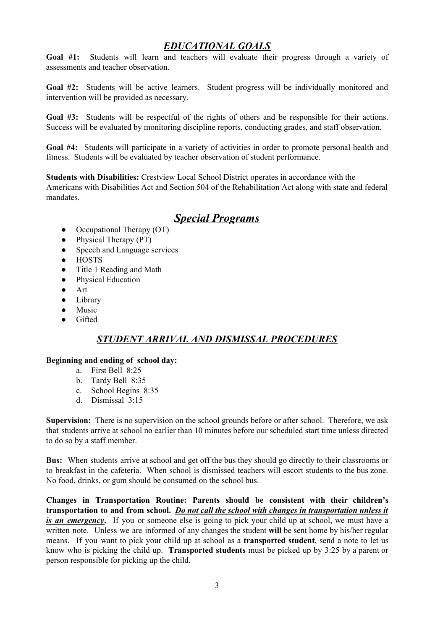## *EDUCATIONAL GOALS*

**Goal #1:** Students will learn and teachers will evaluate their progress through a variety of assessments and teacher observation.

**Goal #2:** Students will be active learners. Student progress will be individually monitored and intervention will be provided as necessary.

**Goal #3:** Students will be respectful of the rights of others and be responsible for their actions. Success will be evaluated by monitoring discipline reports, conducting grades, and staff observation.

**Goal #4:** Students will participate in a variety of activities in order to promote personal health and fitness. Students will be evaluated by teacher observation of student performance.

**Students with Disabilities:** Crestview Local School District operates in accordance with the Americans with Disabilities Act and Section 504 of the Rehabilitation Act along with state and federal mandates.

## *Special Programs*

- Occupational Therapy (OT)
- Physical Therapy (PT)
- Speech and Language services
- **HOSTS**
- Title 1 Reading and Math
- Physical Education
- Art
- Library
- Music
- **Gifted**

## *STUDENT ARRIVAL AND DISMISSAL PROCEDURES*

#### **Beginning and ending of school day:**

- a. First Bell 8:25
- b. Tardy Bell 8:35
- c. School Begins 8:35
- d. Dismissal 3:15

**Supervision:** There is no supervision on the school grounds before or after school. Therefore, we ask that students arrive at school no earlier than 10 minutes before our scheduled start time unless directed to do so by a staff member.

**Bus:** When students arrive at school and get off the bus they should go directly to their classrooms or to breakfast in the cafeteria. When school is dismissed teachers will escort students to the bus zone. No food, drinks, or gum should be consumed on the school bus.

**Changes in Transportation Routine: Parents should be consistent with their children's transportation to and from school.** *Do not call the school with changes in transportation unless it is* an *emergency*. If you or someone else is going to pick your child up at school, we must have a written note. Unless we are informed of any changes the student **will** be sent home by his/her regular means. If you want to pick your child up at school as a **transported student**, send a note to let us know who is picking the child up. **Transported students** must be picked up by 3:25 by a parent or person responsible for picking up the child.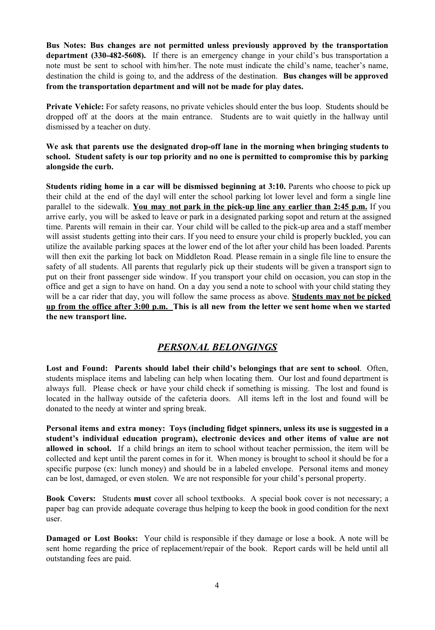**Bus Notes: Bus changes are not permitted unless previously approved by the transportation department (330-482-5608).** If there is an emergency change in your child's bus transportation a note must be sent to school with him/her. The note must indicate the child's name, teacher's name, destination the child is going to, and the address of the destination. **Bus changes will be approved from the transportation department and will not be made for play dates.**

**Private Vehicle:** For safety reasons, no private vehicles should enter the bus loop. Students should be dropped off at the doors at the main entrance. Students are to wait quietly in the hallway until dismissed by a teacher on duty.

**We ask that parents use the designated drop-off lane in the morning when bringing students to school. Student safety is our top priority and no one is permitted to compromise this by parking alongside the curb.**

**Students riding home in a car will be dismissed beginning at 3:10.** Parents who choose to pick up their child at the end of the dayl will enter the school parking lot lower level and form a single line parallel to the sidewalk. **You may not park in the pick-up line any earlier than 2:45 p.m.** If you arrive early, you will be asked to leave or park in a designated parking sopot and return at the assigned time. Parents will remain in their car. Your child will be called to the pick-up area and a staff member will assist students getting into their cars. If you need to ensure your child is properly buckled, you can utilize the available parking spaces at the lower end of the lot after your child has been loaded. Parents will then exit the parking lot back on Middleton Road. Please remain in a single file line to ensure the safety of all students. All parents that regularly pick up their students will be given a transport sign to put on their front passenger side window. If you transport your child on occasion, you can stop in the office and get a sign to have on hand. On a day you send a note to school with your child stating they will be a car rider that day, you will follow the same process as above. **Students may not be picked** up from the office after 3:00 p.m. This is all new from the letter we sent home when we started **the new transport line.**

## *PERSONAL BELONGINGS*

**Lost and Found: Parents should label their child's belongings that are sent to school**. Often, students misplace items and labeling can help when locating them. Our lost and found department is always full. Please check or have your child check if something is missing. The lost and found is located in the hallway outside of the cafeteria doors. All items left in the lost and found will be donated to the needy at winter and spring break.

**Personal items and extra money: Toys (including fidget spinners, unless its use is suggested in a student's individual education program), electronic devices and other items of value are not allowed in school.** If a child brings an item to school without teacher permission, the item will be collected and kept until the parent comes in for it. When money is brought to school it should be for a specific purpose (ex: lunch money) and should be in a labeled envelope. Personal items and money can be lost, damaged, or even stolen. We are not responsible for your child's personal property.

**Book Covers:** Students **must** cover all school textbooks. A special book cover is not necessary; a paper bag can provide adequate coverage thus helping to keep the book in good condition for the next user.

**Damaged or Lost Books:** Your child is responsible if they damage or lose a book. A note will be sent home regarding the price of replacement/repair of the book. Report cards will be held until all outstanding fees are paid.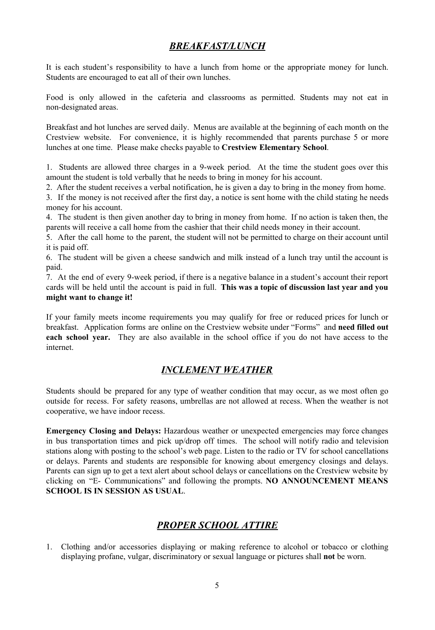## *BREAKFAST/LUNCH*

It is each student's responsibility to have a lunch from home or the appropriate money for lunch. Students are encouraged to eat all of their own lunches.

Food is only allowed in the cafeteria and classrooms as permitted. Students may not eat in non-designated areas.

Breakfast and hot lunches are served daily. Menus are available at the beginning of each month on the Crestview website. For convenience, it is highly recommended that parents purchase 5 or more lunches at one time. Please make checks payable to **Crestview Elementary School**.

1. Students are allowed three charges in a 9-week period. At the time the student goes over this amount the student is told verbally that he needs to bring in money for his account.

2. After the student receives a verbal notification, he is given a day to bring in the money from home.

3. If the money is not received after the first day, a notice is sent home with the child stating he needs money for his account.

4. The student is then given another day to bring in money from home. If no action is taken then, the parents will receive a call home from the cashier that their child needs money in their account.

5. After the call home to the parent, the student will not be permitted to charge on their account until it is paid off.

6. The student will be given a cheese sandwich and milk instead of a lunch tray until the account is paid.

7. At the end of every 9-week period, if there is a negative balance in a student's account their report cards will be held until the account is paid in full. **This was a topic of discussion last year and you might want to change it!**

If your family meets income requirements you may qualify for free or reduced prices for lunch or breakfast. Application forms are online on the Crestview website under "Forms" and **need filled out each school year.** They are also available in the school office if you do not have access to the internet.

## *INCLEMENT WEATHER*

Students should be prepared for any type of weather condition that may occur, as we most often go outside for recess. For safety reasons, umbrellas are not allowed at recess. When the weather is not cooperative, we have indoor recess.

**Emergency Closing and Delays:** Hazardous weather or unexpected emergencies may force changes in bus transportation times and pick up/drop off times. The school will notify radio and television stations along with posting to the school's web page. Listen to the radio or TV for school cancellations or delays. Parents and students are responsible for knowing about emergency closings and delays. Parents can sign up to get a text alert about school delays or cancellations on the Crestview website by clicking on "E- Communications" and following the prompts. **NO ANNOUNCEMENT MEANS SCHOOL IS IN SESSION AS USUAL**.

## *PROPER SCHOOL ATTIRE*

1. Clothing and/or accessories displaying or making reference to alcohol or tobacco or clothing displaying profane, vulgar, discriminatory or sexual language or pictures shall **not** be worn.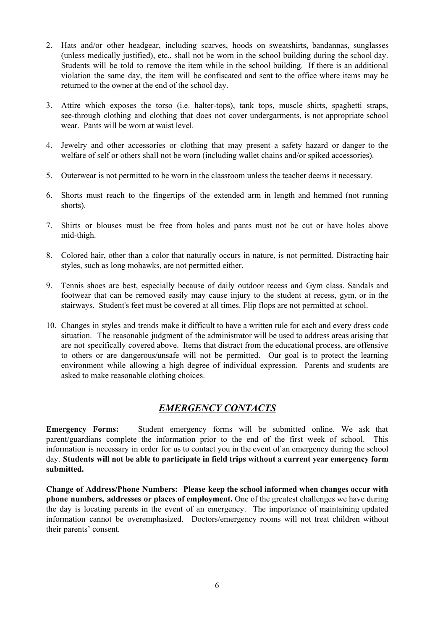- 2. Hats and/or other headgear, including scarves, hoods on sweatshirts, bandannas, sunglasses (unless medically justified), etc., shall not be worn in the school building during the school day. Students will be told to remove the item while in the school building. If there is an additional violation the same day, the item will be confiscated and sent to the office where items may be returned to the owner at the end of the school day.
- 3. Attire which exposes the torso (i.e. halter-tops), tank tops, muscle shirts, spaghetti straps, see-through clothing and clothing that does not cover undergarments, is not appropriate school wear. Pants will be worn at waist level.
- 4. Jewelry and other accessories or clothing that may present a safety hazard or danger to the welfare of self or others shall not be worn (including wallet chains and/or spiked accessories).
- 5. Outerwear is not permitted to be worn in the classroom unless the teacher deems it necessary.
- 6. Shorts must reach to the fingertips of the extended arm in length and hemmed (not running shorts).
- 7. Shirts or blouses must be free from holes and pants must not be cut or have holes above mid-thigh.
- 8. Colored hair, other than a color that naturally occurs in nature, is not permitted. Distracting hair styles, such as long mohawks, are not permitted either.
- 9. Tennis shoes are best, especially because of daily outdoor recess and Gym class. Sandals and footwear that can be removed easily may cause injury to the student at recess, gym, or in the stairways. Student's feet must be covered at all times. Flip flops are not permitted at school.
- 10. Changes in styles and trends make it difficult to have a written rule for each and every dress code situation. The reasonable judgment of the administrator will be used to address areas arising that are not specifically covered above. Items that distract from the educational process, are offensive to others or are dangerous/unsafe will not be permitted. Our goal is to protect the learning environment while allowing a high degree of individual expression. Parents and students are asked to make reasonable clothing choices.

## *EMERGENCY CONTACTS*

**Emergency Forms:** Student emergency forms will be submitted online. We ask that parent/guardians complete the information prior to the end of the first week of school. This information is necessary in order for us to contact you in the event of an emergency during the school day. **Students will not be able to participate in field trips without a current year emergency form submitted.**

**Change of Address/Phone Numbers: Please keep the school informed when changes occur with phone numbers, addresses or places of employment.** One of the greatest challenges we have during the day is locating parents in the event of an emergency. The importance of maintaining updated information cannot be overemphasized. Doctors/emergency rooms will not treat children without their parents' consent.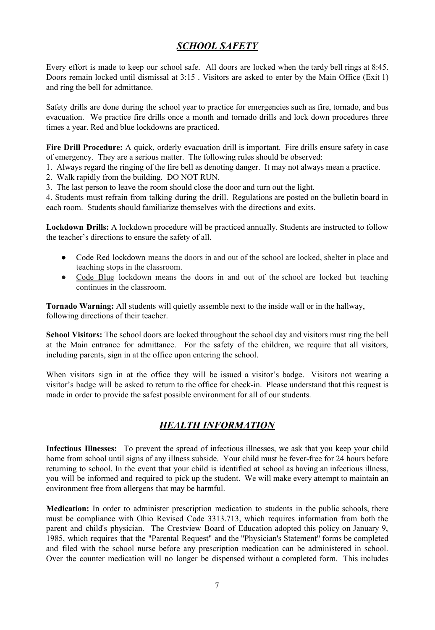## *SCHOOL SAFETY*

Every effort is made to keep our school safe. All doors are locked when the tardy bell rings at 8:45. Doors remain locked until dismissal at 3:15 . Visitors are asked to enter by the Main Office (Exit 1) and ring the bell for admittance.

Safety drills are done during the school year to practice for emergencies such as fire, tornado, and bus evacuation. We practice fire drills once a month and tornado drills and lock down procedures three times a year. Red and blue lockdowns are practiced.

**Fire Drill Procedure:** A quick, orderly evacuation drill is important. Fire drills ensure safety in case of emergency. They are a serious matter. The following rules should be observed:

- 1. Always regard the ringing of the fire bell as denoting danger. It may not always mean a practice.
- 2. Walk rapidly from the building. DO NOT RUN.
- 3. The last person to leave the room should close the door and turn out the light.

4. Students must refrain from talking during the drill. Regulations are posted on the bulletin board in each room. Students should familiarize themselves with the directions and exits.

**Lockdown Drills:** A lockdown procedure will be practiced annually. Students are instructed to follow the teacher's directions to ensure the safety of all.

- Code Red lockdown means the doors in and out of the school are locked, shelter in place and teaching stops in the classroom.
- Code Blue lockdown means the doors in and out of the school are locked but teaching continues in the classroom.

**Tornado Warning:** All students will quietly assemble next to the inside wall or in the hallway, following directions of their teacher.

**School Visitors:** The school doors are locked throughout the school day and visitors must ring the bell at the Main entrance for admittance. For the safety of the children, we require that all visitors, including parents, sign in at the office upon entering the school.

When visitors sign in at the office they will be issued a visitor's badge. Visitors not wearing a visitor's badge will be asked to return to the office for check-in. Please understand that this request is made in order to provide the safest possible environment for all of our students.

## *HEALTH INFORMATION*

**Infectious Illnesses:** To prevent the spread of infectious illnesses, we ask that you keep your child home from school until signs of any illness subside. Your child must be fever-free for 24 hours before returning to school. In the event that your child is identified at school as having an infectious illness, you will be informed and required to pick up the student. We will make every attempt to maintain an environment free from allergens that may be harmful.

**Medication:** In order to administer prescription medication to students in the public schools, there must be compliance with Ohio Revised Code 3313.713, which requires information from both the parent and child's physician. The Crestview Board of Education adopted this policy on January 9, 1985, which requires that the "Parental Request" and the "Physician's Statement" forms be completed and filed with the school nurse before any prescription medication can be administered in school. Over the counter medication will no longer be dispensed without a completed form. This includes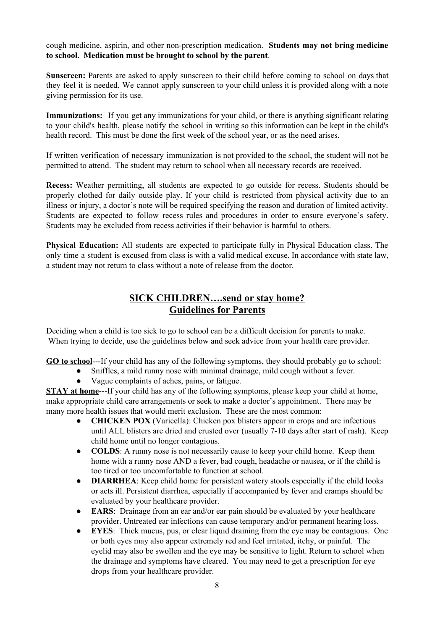cough medicine, aspirin, and other non-prescription medication. **Students may not bring medicine to school. Medication must be brought to school by the parent**.

**Sunscreen:** Parents are asked to apply sunscreen to their child before coming to school on days that they feel it is needed. We cannot apply sunscreen to your child unless it is provided along with a note giving permission for its use.

**Immunizations:** If you get any immunizations for your child, or there is anything significant relating to your child's health, please notify the school in writing so this information can be kept in the child's health record. This must be done the first week of the school year, or as the need arises.

If written verification of necessary immunization is not provided to the school, the student will not be permitted to attend. The student may return to school when all necessary records are received.

**Recess:** Weather permitting, all students are expected to go outside for recess. Students should be properly clothed for daily outside play. If your child is restricted from physical activity due to an illness or injury, a doctor's note will be required specifying the reason and duration of limited activity. Students are expected to follow recess rules and procedures in order to ensure everyone's safety. Students may be excluded from recess activities if their behavior is harmful to others.

**Physical Education:** All students are expected to participate fully in Physical Education class. The only time a student is excused from class is with a valid medical excuse. In accordance with state law, a student may not return to class without a note of release from the doctor.

## **SICK CHILDREN….send or stay home? Guidelines for Parents**

Deciding when a child is too sick to go to school can be a difficult decision for parents to make. When trying to decide, use the guidelines below and seek advice from your health care provider.

**GO to school**---If your child has any of the following symptoms, they should probably go to school:

- Sniffles, a mild runny nose with minimal drainage, mild cough without a fever.
- Vague complaints of aches, pains, or fatigue.

**STAY at home**---If your child has any of the following symptoms, please keep your child at home, make appropriate child care arrangements or seek to make a doctor's appointment. There may be many more health issues that would merit exclusion. These are the most common:

- **CHICKEN POX** (Varicella): Chicken pox blisters appear in crops and are infectious until ALL blisters are dried and crusted over (usually 7-10 days after start of rash). Keep child home until no longer contagious.
- **COLDS**: A runny nose is not necessarily cause to keep your child home. Keep them home with a runny nose AND a fever, bad cough, headache or nausea, or if the child is too tired or too uncomfortable to function at school.
- **DIARRHEA**: Keep child home for persistent watery stools especially if the child looks or acts ill. Persistent diarrhea, especially if accompanied by fever and cramps should be evaluated by your healthcare provider.
- **EARS**: Drainage from an ear and/or ear pain should be evaluated by your healthcare provider. Untreated ear infections can cause temporary and/or permanent hearing loss.
- **EYES**: Thick mucus, pus, or clear liquid draining from the eye may be contagious. One or both eyes may also appear extremely red and feel irritated, itchy, or painful. The eyelid may also be swollen and the eye may be sensitive to light. Return to school when the drainage and symptoms have cleared. You may need to get a prescription for eye drops from your healthcare provider.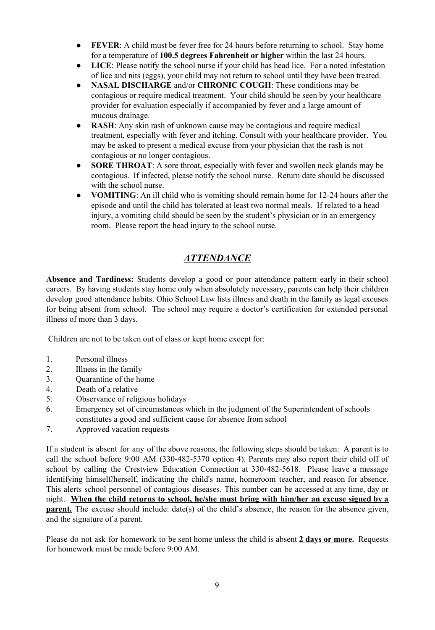- **FEVER:** A child must be fever free for 24 hours before returning to school. Stay home for a temperature of **100.5 degrees Fahrenheit or higher** within the last 24 hours.
- **LICE**: Please notify the school nurse if your child has head lice. For a noted infestation of lice and nits (eggs), your child may not return to school until they have been treated.
- **NASAL DISCHARGE** and/or **CHRONIC COUGH**: These conditions may be contagious or require medical treatment. Your child should be seen by your healthcare provider for evaluation especially if accompanied by fever and a large amount of mucous drainage.
- **RASH**: Any skin rash of unknown cause may be contagious and require medical treatment, especially with fever and itching. Consult with your healthcare provider. You may be asked to present a medical excuse from your physician that the rash is not contagious or no longer contagious.
- **SORE THROAT**: A sore throat, especially with fever and swollen neck glands may be contagious. If infected, please notify the school nurse. Return date should be discussed with the school nurse.
- **VOMITING**: An ill child who is vomiting should remain home for 12-24 hours after the episode and until the child has tolerated at least two normal meals. If related to a head injury, a vomiting child should be seen by the student's physician or in an emergency room. Please report the head injury to the school nurse.

## *ATTENDANCE*

**Absence and Tardiness:** Students develop a good or poor attendance pattern early in their school careers. By having students stay home only when absolutely necessary, parents can help their children develop good attendance habits. Ohio School Law lists illness and death in the family as legal excuses for being absent from school. The school may require a doctor's certification for extended personal illness of more than 3 days.

Children are not to be taken out of class or kept home except for:

- 1. Personal illness
- 2. Illness in the family
- 3. Quarantine of the home
- 4. Death of a relative
- 5. Observance of religious holidays
- 6. Emergency set of circumstances which in the judgment of the Superintendent of schools constitutes a good and sufficient cause for absence from school
- 7. Approved vacation requests

If a student is absent for any of the above reasons, the following steps should be taken: A parent is to call the school before 9:00 AM (330-482-5370 option 4). Parents may also report their child off of school by calling the Crestview Education Connection at 330-482-5618. Please leave a message identifying himself/herself, indicating the child's name, homeroom teacher, and reason for absence. This alerts school personnel of contagious diseases. This number can be accessed at any time, day or night. **When the child returns to school, he/she must bring with him/her an excuse signed by a parent.** The excuse should include: date(s) of the child's absence, the reason for the absence given, and the signature of a parent.

Please do not ask for homework to be sent home unless the child is absent **2 days or more.** Requests for homework must be made before 9:00 AM.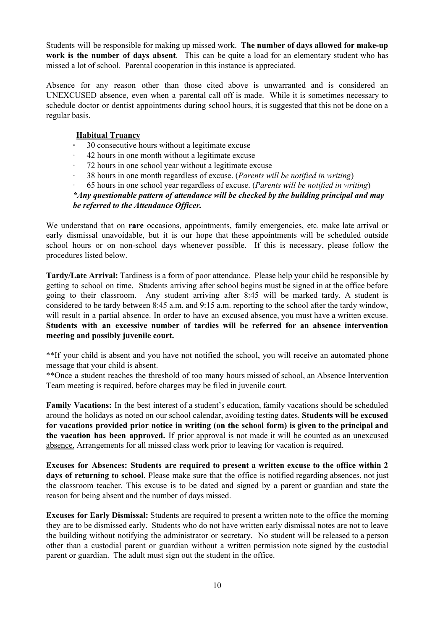Students will be responsible for making up missed work. **The number of days allowed for make-up work is the number of days absent**. This can be quite a load for an elementary student who has missed a lot of school. Parental cooperation in this instance is appreciated.

Absence for any reason other than those cited above is unwarranted and is considered an UNEXCUSED absence, even when a parental call off is made. While it is sometimes necessary to schedule doctor or dentist appointments during school hours, it is suggested that this not be done on a regular basis.

#### **Habitual Truancy**

- **·** 30 consecutive hours without a legitimate excuse
- · 42 hours in one month without a legitimate excuse
- · 72 hours in one school year without a legitimate excuse
- · 38 hours in one month regardless of excuse. (*Parents will be notified in writing*)
- · 65 hours in one school year regardless of excuse. (*Parents will be notified in writing*)

#### *\*Any questionable pattern of attendance will be checked by the building principal and may be referred to the Attendance Of icer.*

We understand that on **rare** occasions, appointments, family emergencies, etc. make late arrival or early dismissal unavoidable, but it is our hope that these appointments will be scheduled outside school hours or on non-school days whenever possible. If this is necessary, please follow the procedures listed below.

**Tardy/Late Arrival:** Tardiness is a form of poor attendance. Please help your child be responsible by getting to school on time. Students arriving after school begins must be signed in at the office before going to their classroom. Any student arriving after 8:45 will be marked tardy. A student is considered to be tardy between 8:45 a.m. and 9:15 a.m. reporting to the school after the tardy window, will result in a partial absence. In order to have an excused absence, you must have a written excuse. **Students with an excessive number of tardies will be referred for an absence intervention meeting and possibly juvenile court.**

\*\*If your child is absent and you have not notified the school, you will receive an automated phone message that your child is absent.

\*\*Once a student reaches the threshold of too many hours missed of school, an Absence Intervention Team meeting is required, before charges may be filed in juvenile court.

**Family Vacations:** In the best interest of a student's education, family vacations should be scheduled around the holidays as noted on our school calendar, avoiding testing dates. **Students will be excused for vacations provided prior notice in writing (on the school form) is given to the principal and the vacation has been approved.** If prior approval is not made it will be counted as an unexcused absence. Arrangements for all missed class work prior to leaving for vacation is required.

**Excuses for Absences: Students are required to present a written excuse to the office within 2 days of returning to school**. Please make sure that the office is notified regarding absences, not just the classroom teacher. This excuse is to be dated and signed by a parent or guardian and state the reason for being absent and the number of days missed.

**Excuses for Early Dismissal:** Students are required to present a written note to the office the morning they are to be dismissed early. Students who do not have written early dismissal notes are not to leave the building without notifying the administrator or secretary. No student will be released to a person other than a custodial parent or guardian without a written permission note signed by the custodial parent or guardian. The adult must sign out the student in the office.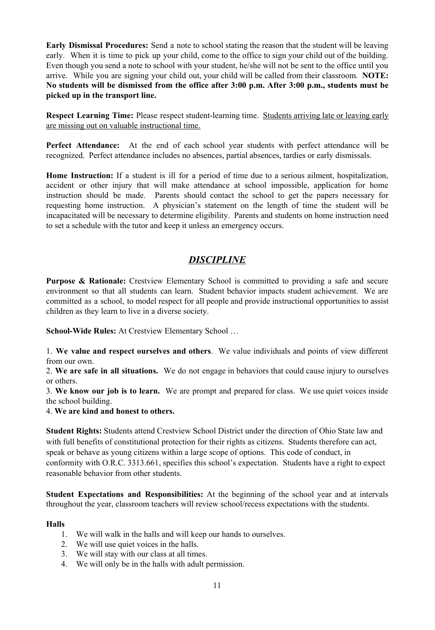**Early Dismissal Procedures:** Send a note to school stating the reason that the student will be leaving early. When it is time to pick up your child, come to the office to sign your child out of the building. Even though you send a note to school with your student, he/she will not be sent to the office until you arrive. While you are signing your child out, your child will be called from their classroom. **NOTE: No students will be dismissed from the office after 3:00 p.m. After 3:00 p.m., students must be picked up in the transport line.**

**Respect Learning Time:** Please respect student-learning time. Students arriving late or leaving early are missing out on valuable instructional time.

**Perfect Attendance:** At the end of each school year students with perfect attendance will be recognized. Perfect attendance includes no absences, partial absences, tardies or early dismissals.

**Home Instruction:** If a student is ill for a period of time due to a serious ailment, hospitalization, accident or other injury that will make attendance at school impossible, application for home instruction should be made. Parents should contact the school to get the papers necessary for requesting home instruction. A physician's statement on the length of time the student will be incapacitated will be necessary to determine eligibility. Parents and students on home instruction need to set a schedule with the tutor and keep it unless an emergency occurs.

## *DISCIPLINE*

**Purpose & Rationale:** Crestview Elementary School is committed to providing a safe and secure environment so that all students can learn. Student behavior impacts student achievement. We are committed as a school, to model respect for all people and provide instructional opportunities to assist children as they learn to live in a diverse society.

**School-Wide Rules:** At Crestview Elementary School …

1. **We value and respect ourselves and others**. We value individuals and points of view different from our own.

2. **We are safe in all situations.** We do not engage in behaviors that could cause injury to ourselves or others.

3. **We know our job is to learn.** We are prompt and prepared for class. We use quiet voices inside the school building.

4. **We are kind and honest to others.**

**Student Rights:** Students attend Crestview School District under the direction of Ohio State law and with full benefits of constitutional protection for their rights as citizens. Students therefore can act, speak or behave as young citizens within a large scope of options. This code of conduct, in conformity with O.R.C. 3313.661, specifies this school's expectation. Students have a right to expect reasonable behavior from other students.

**Student Expectations and Responsibilities:** At the beginning of the school year and at intervals throughout the year, classroom teachers will review school/recess expectations with the students.

#### **Halls**

- 1. We will walk in the halls and will keep our hands to ourselves.
- 2. We will use quiet voices in the halls.
- 3. We will stay with our class at all times.
- 4. We will only be in the halls with adult permission.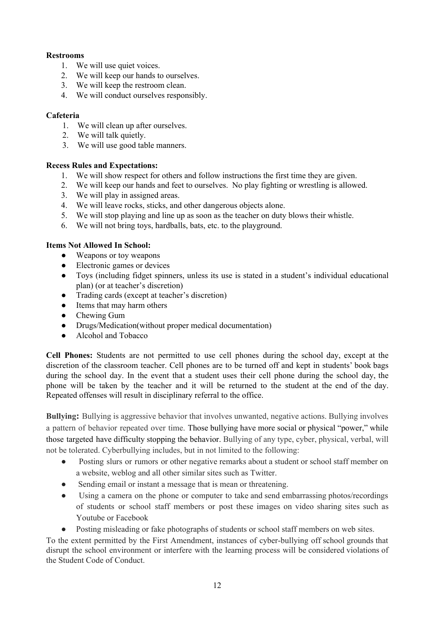#### **Restrooms**

- 1. We will use quiet voices.
- 2. We will keep our hands to ourselves.
- 3. We will keep the restroom clean.
- 4. We will conduct ourselves responsibly.

#### **Cafeteria**

- 1. We will clean up after ourselves.
- 2. We will talk quietly.
- 3. We will use good table manners.

#### **Recess Rules and Expectations:**

- 1. We will show respect for others and follow instructions the first time they are given.
- 2. We will keep our hands and feet to ourselves. No play fighting or wrestling is allowed.
- 3. We will play in assigned areas.
- 4. We will leave rocks, sticks, and other dangerous objects alone.
- 5. We will stop playing and line up as soon as the teacher on duty blows their whistle.
- 6. We will not bring toys, hardballs, bats, etc. to the playground.

#### **Items Not Allowed In School:**

- Weapons or toy weapons
- Electronic games or devices
- Toys (including fidget spinners, unless its use is stated in a student's individual educational plan) (or at teacher's discretion)
- Trading cards (except at teacher's discretion)
- Items that may harm others
- Chewing Gum
- Drugs/Medication(without proper medical documentation)
- Alcohol and Tobacco

**Cell Phones:** Students are not permitted to use cell phones during the school day, except at the discretion of the classroom teacher. Cell phones are to be turned off and kept in students' book bags during the school day. In the event that a student uses their cell phone during the school day, the phone will be taken by the teacher and it will be returned to the student at the end of the day. Repeated offenses will result in disciplinary referral to the office.

**Bullying:** Bullying is aggressive behavior that involves unwanted, negative actions. Bullying involves a pattern of behavior repeated over time. Those bullying have more social or physical "power," while those targeted have difficulty stopping the behavior. Bullying of any type, cyber, physical, verbal, will not be tolerated. Cyberbullying includes, but in not limited to the following:

- Posting slurs or rumors or other negative remarks about a student or school staff member on a website, weblog and all other similar sites such as Twitter.
- Sending email or instant a message that is mean or threatening.
- Using a camera on the phone or computer to take and send embarrassing photos/recordings of students or school staff members or post these images on video sharing sites such as Youtube or Facebook
- Posting misleading or fake photographs of students or school staff members on web sites.

To the extent permitted by the First Amendment, instances of cyber-bullying off school grounds that disrupt the school environment or interfere with the learning process will be considered violations of the Student Code of Conduct.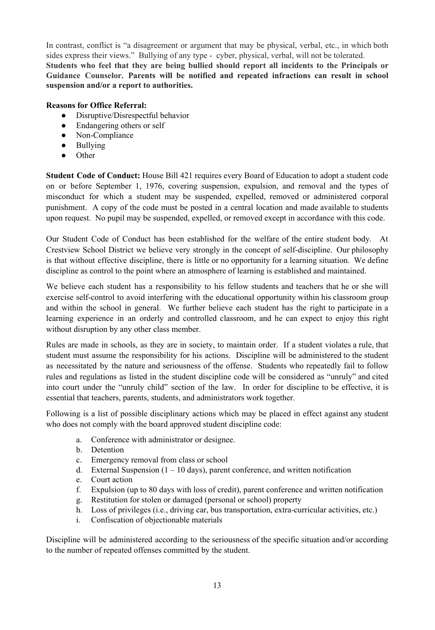In contrast, conflict is "a disagreement or argument that may be physical, verbal, etc., in which both sides express their views." Bullying of any type - cyber, physical, verbal, will not be tolerated. **Students who feel that they are being bullied should report all incidents to the Principals or Guidance Counselor. Parents will be notified and repeated infractions can result in school suspension and/or a report to authorities.**

#### **Reasons for Office Referral:**

- Disruptive/Disrespectful behavior
- Endangering others or self
- Non-Compliance
- Bullying
- Other

**Student Code of Conduct:** House Bill 421 requires every Board of Education to adopt a student code on or before September 1, 1976, covering suspension, expulsion, and removal and the types of misconduct for which a student may be suspended, expelled, removed or administered corporal punishment. A copy of the code must be posted in a central location and made available to students upon request. No pupil may be suspended, expelled, or removed except in accordance with this code.

Our Student Code of Conduct has been established for the welfare of the entire student body. At Crestview School District we believe very strongly in the concept of self-discipline. Our philosophy is that without effective discipline, there is little or no opportunity for a learning situation. We define discipline as control to the point where an atmosphere of learning is established and maintained.

We believe each student has a responsibility to his fellow students and teachers that he or she will exercise self-control to avoid interfering with the educational opportunity within his classroom group and within the school in general. We further believe each student has the right to participate in a learning experience in an orderly and controlled classroom, and he can expect to enjoy this right without disruption by any other class member.

Rules are made in schools, as they are in society, to maintain order. If a student violates a rule, that student must assume the responsibility for his actions. Discipline will be administered to the student as necessitated by the nature and seriousness of the offense. Students who repeatedly fail to follow rules and regulations as listed in the student discipline code will be considered as "unruly" and cited into court under the "unruly child" section of the law. In order for discipline to be effective, it is essential that teachers, parents, students, and administrators work together.

Following is a list of possible disciplinary actions which may be placed in effect against any student who does not comply with the board approved student discipline code:

- a. Conference with administrator or designee.
- b. Detention
- c. Emergency removal from class or school
- d. External Suspension  $(1 10 \text{ days})$ , parent conference, and written notification
- e. Court action
- f. Expulsion (up to 80 days with loss of credit), parent conference and written notification
- g. Restitution for stolen or damaged (personal or school) property
- h. Loss of privileges (i.e., driving car, bus transportation, extra-curricular activities, etc.)
- i. Confiscation of objectionable materials

Discipline will be administered according to the seriousness of the specific situation and/or according to the number of repeated offenses committed by the student.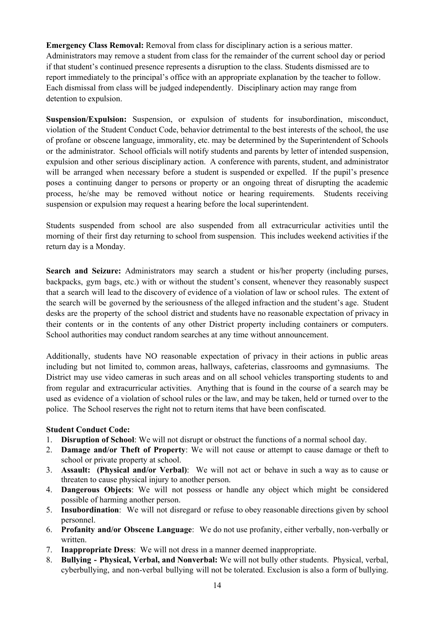**Emergency Class Removal:** Removal from class for disciplinary action is a serious matter. Administrators may remove a student from class for the remainder of the current school day or period if that student's continued presence represents a disruption to the class. Students dismissed are to report immediately to the principal's office with an appropriate explanation by the teacher to follow. Each dismissal from class will be judged independently. Disciplinary action may range from detention to expulsion.

**Suspension/Expulsion:** Suspension, or expulsion of students for insubordination, misconduct, violation of the Student Conduct Code, behavior detrimental to the best interests of the school, the use of profane or obscene language, immorality, etc. may be determined by the Superintendent of Schools or the administrator. School officials will notify students and parents by letter of intended suspension, expulsion and other serious disciplinary action. A conference with parents, student, and administrator will be arranged when necessary before a student is suspended or expelled. If the pupil's presence poses a continuing danger to persons or property or an ongoing threat of disrupting the academic process, he/she may be removed without notice or hearing requirements. Students receiving suspension or expulsion may request a hearing before the local superintendent.

Students suspended from school are also suspended from all extracurricular activities until the morning of their first day returning to school from suspension. This includes weekend activities if the return day is a Monday.

**Search and Seizure:** Administrators may search a student or his/her property (including purses, backpacks, gym bags, etc.) with or without the student's consent, whenever they reasonably suspect that a search will lead to the discovery of evidence of a violation of law or school rules. The extent of the search will be governed by the seriousness of the alleged infraction and the student's age. Student desks are the property of the school district and students have no reasonable expectation of privacy in their contents or in the contents of any other District property including containers or computers. School authorities may conduct random searches at any time without announcement.

Additionally, students have NO reasonable expectation of privacy in their actions in public areas including but not limited to, common areas, hallways, cafeterias, classrooms and gymnasiums. The District may use video cameras in such areas and on all school vehicles transporting students to and from regular and extracurricular activities. Anything that is found in the course of a search may be used as evidence of a violation of school rules or the law, and may be taken, held or turned over to the police. The School reserves the right not to return items that have been confiscated.

#### **Student Conduct Code:**

- 1. **Disruption of School**: We will not disrupt or obstruct the functions of a normal school day.
- 2. **Damage and/or Theft of Property**: We will not cause or attempt to cause damage or theft to school or private property at school.
- 3. **Assault: (Physical and/or Verbal)**: We will not act or behave in such a way as to cause or threaten to cause physical injury to another person.
- 4. **Dangerous Objects**: We will not possess or handle any object which might be considered possible of harming another person.
- 5. **Insubordination**: We will not disregard or refuse to obey reasonable directions given by school personnel.
- 6. **Profanity and/or Obscene Language**: We do not use profanity, either verbally, non-verbally or written.
- 7. **Inappropriate Dress**: We will not dress in a manner deemed inappropriate.
- 8. **Bullying - Physical, Verbal, and Nonverbal:** We will not bully other students. Physical, verbal, cyberbullying, and non-verbal bullying will not be tolerated. Exclusion is also a form of bullying.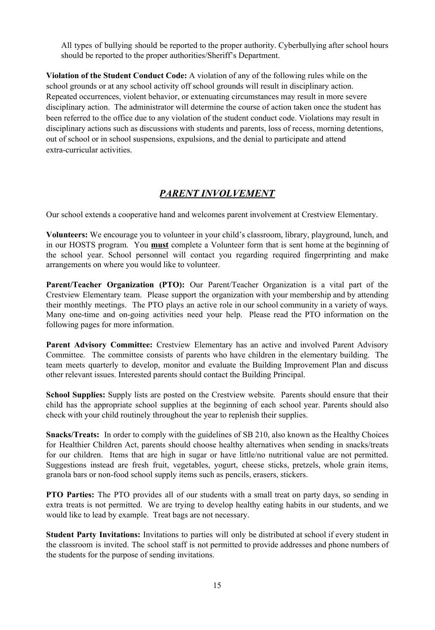All types of bullying should be reported to the proper authority. Cyberbullying after school hours should be reported to the proper authorities/Sheriff's Department.

**Violation of the Student Conduct Code:** A violation of any of the following rules while on the school grounds or at any school activity off school grounds will result in disciplinary action. Repeated occurrences, violent behavior, or extenuating circumstances may result in more severe disciplinary action. The administrator will determine the course of action taken once the student has been referred to the office due to any violation of the student conduct code. Violations may result in disciplinary actions such as discussions with students and parents, loss of recess, morning detentions, out of school or in school suspensions, expulsions, and the denial to participate and attend extra-curricular activities.

## *PARENT INVOLVEMENT*

Our school extends a cooperative hand and welcomes parent involvement at Crestview Elementary.

**Volunteers:** We encourage you to volunteer in your child's classroom, library, playground, lunch, and in our HOSTS program. You **must** complete a Volunteer form that is sent home at the beginning of the school year. School personnel will contact you regarding required fingerprinting and make arrangements on where you would like to volunteer.

**Parent/Teacher Organization (PTO):** Our Parent/Teacher Organization is a vital part of the Crestview Elementary team. Please support the organization with your membership and by attending their monthly meetings. The PTO plays an active role in our school community in a variety of ways. Many one-time and on-going activities need your help. Please read the PTO information on the following pages for more information.

**Parent Advisory Committee:** Crestview Elementary has an active and involved Parent Advisory Committee. The committee consists of parents who have children in the elementary building. The team meets quarterly to develop, monitor and evaluate the Building Improvement Plan and discuss other relevant issues. Interested parents should contact the Building Principal.

**School Supplies:** Supply lists are posted on the Crestview website. Parents should ensure that their child has the appropriate school supplies at the beginning of each school year. Parents should also check with your child routinely throughout the year to replenish their supplies.

**Snacks/Treats:** In order to comply with the guidelines of SB 210, also known as the Healthy Choices for Healthier Children Act, parents should choose healthy alternatives when sending in snacks/treats for our children. Items that are high in sugar or have little/no nutritional value are not permitted. Suggestions instead are fresh fruit, vegetables, yogurt, cheese sticks, pretzels, whole grain items, granola bars or non-food school supply items such as pencils, erasers, stickers.

**PTO Parties:** The PTO provides all of our students with a small treat on party days, so sending in extra treats is not permitted. We are trying to develop healthy eating habits in our students, and we would like to lead by example. Treat bags are not necessary.

**Student Party Invitations:** Invitations to parties will only be distributed at school if every student in the classroom is invited. The school staff is not permitted to provide addresses and phone numbers of the students for the purpose of sending invitations.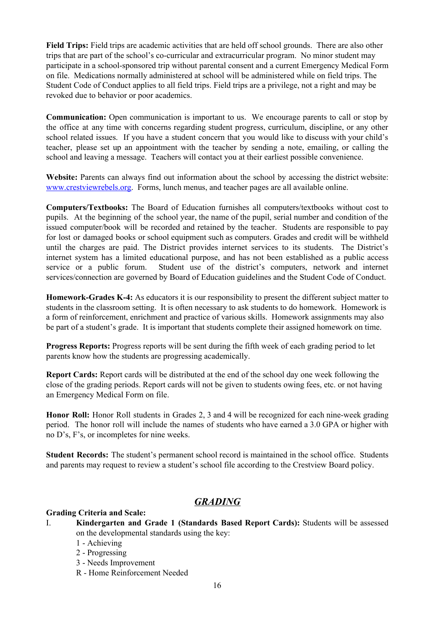**Field Trips:** Field trips are academic activities that are held off school grounds. There are also other trips that are part of the school's co-curricular and extracurricular program. No minor student may participate in a school-sponsored trip without parental consent and a current Emergency Medical Form on file. Medications normally administered at school will be administered while on field trips. The Student Code of Conduct applies to all field trips. Field trips are a privilege, not a right and may be revoked due to behavior or poor academics.

**Communication:** Open communication is important to us. We encourage parents to call or stop by the office at any time with concerns regarding student progress, curriculum, discipline, or any other school related issues. If you have a student concern that you would like to discuss with your child's teacher, please set up an appointment with the teacher by sending a note, emailing, or calling the school and leaving a message. Teachers will contact you at their earliest possible convenience.

**Website:** Parents can always find out information about the school by accessing the district website: [www.crestviewrebels.org.](http://www.crestviewrebels.org/) Forms, lunch menus, and teacher pages are all available online.

**Computers/Textbooks:** The Board of Education furnishes all computers/textbooks without cost to pupils. At the beginning of the school year, the name of the pupil, serial number and condition of the issued computer/book will be recorded and retained by the teacher. Students are responsible to pay for lost or damaged books or school equipment such as computers. Grades and credit will be withheld until the charges are paid. The District provides internet services to its students. The District's internet system has a limited educational purpose, and has not been established as a public access service or a public forum. Student use of the district's computers, network and internet services/connection are governed by Board of Education guidelines and the Student Code of Conduct.

**Homework-Grades K-4:** As educators it is our responsibility to present the different subject matter to students in the classroom setting. It is often necessary to ask students to do homework. Homework is a form of reinforcement, enrichment and practice of various skills. Homework assignments may also be part of a student's grade. It is important that students complete their assigned homework on time.

**Progress Reports:** Progress reports will be sent during the fifth week of each grading period to let parents know how the students are progressing academically.

**Report Cards:** Report cards will be distributed at the end of the school day one week following the close of the grading periods. Report cards will not be given to students owing fees, etc. or not having an Emergency Medical Form on file.

**Honor Roll:** Honor Roll students in Grades 2, 3 and 4 will be recognized for each nine-week grading period. The honor roll will include the names of students who have earned a 3.0 GPA or higher with no D's, F's, or incompletes for nine weeks.

**Student Records:** The student's permanent school record is maintained in the school office. Students and parents may request to review a student's school file according to the Crestview Board policy.

## *GRADING*

#### **Grading Criteria and Scale:**

- I. **Kindergarten and Grade 1 (Standards Based Report Cards):** Students will be assessed on the developmental standards using the key:
	- 1 Achieving
	- 2 Progressing
	- 3 Needs Improvement
	- R Home Reinforcement Needed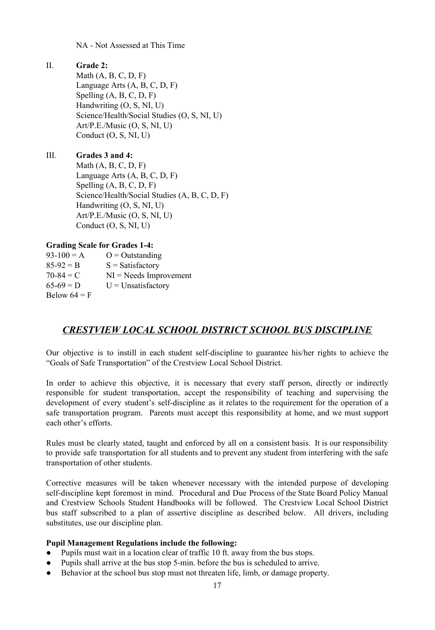NA - Not Assessed at This Time

#### II. **Grade 2:**

Math  $(A, B, C, D, F)$ Language Arts (A, B, C, D, F) Spelling (A, B, C, D, F) Handwriting (O, S, NI, U) Science/Health/Social Studies (O, S, NI, U) Art/P.E./Music (O, S, NI, U) Conduct (O, S, NI, U)

## III. **Grades 3 and 4:**

Math  $(A, B, C, D, F)$ Language Arts (A, B, C, D, F) Spelling (A, B, C, D, F) Science/Health/Social Studies (A, B, C, D, F) Handwriting (O, S, NI, U) Art/P.E./Music (O, S, NI, U) Conduct (O, S, NI, U)

#### **Grading Scale for Grades 1-4:**

| $93-100 = A$   | $O =$ Outstanding         |
|----------------|---------------------------|
| $85-92 = B$    | $S = Satisfactory$        |
| $70-84 = C$    | $NI = N$ eeds Improvement |
| $65-69 = D$    | $U =$ Unsatisfactory      |
| Below $64 = F$ |                           |

## *CRESTVIEW LOCAL SCHOOL DISTRICT SCHOOL BUS DISCIPLINE*

Our objective is to instill in each student self-discipline to guarantee his/her rights to achieve the "Goals of Safe Transportation" of the Crestview Local School District.

In order to achieve this objective, it is necessary that every staff person, directly or indirectly responsible for student transportation, accept the responsibility of teaching and supervising the development of every student's self-discipline as it relates to the requirement for the operation of a safe transportation program. Parents must accept this responsibility at home, and we must support each other's efforts.

Rules must be clearly stated, taught and enforced by all on a consistent basis. It is our responsibility to provide safe transportation for all students and to prevent any student from interfering with the safe transportation of other students.

Corrective measures will be taken whenever necessary with the intended purpose of developing self-discipline kept foremost in mind. Procedural and Due Process of the State Board Policy Manual and Crestview Schools Student Handbooks will be followed. The Crestview Local School District bus staff subscribed to a plan of assertive discipline as described below. All drivers, including substitutes, use our discipline plan.

#### **Pupil Management Regulations include the following:**

- Pupils must wait in a location clear of traffic 10 ft. away from the bus stops.
- Pupils shall arrive at the bus stop 5-min. before the bus is scheduled to arrive.
- Behavior at the school bus stop must not threaten life, limb, or damage property.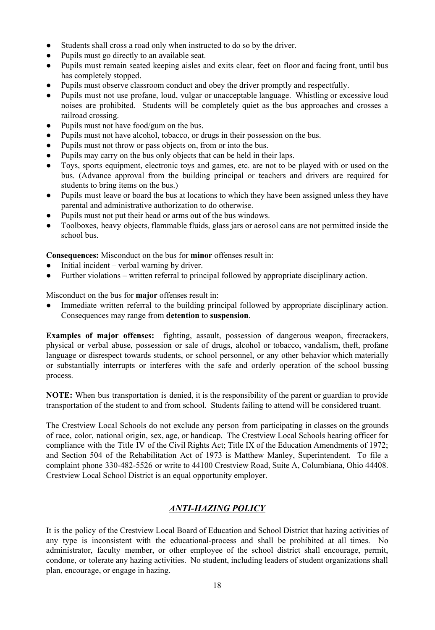- Students shall cross a road only when instructed to do so by the driver.
- Pupils must go directly to an available seat.
- Pupils must remain seated keeping aisles and exits clear, feet on floor and facing front, until bus has completely stopped.
- Pupils must observe classroom conduct and obey the driver promptly and respectfully.
- Pupils must not use profane, loud, vulgar or unacceptable language. Whistling or excessive loud noises are prohibited. Students will be completely quiet as the bus approaches and crosses a railroad crossing.
- Pupils must not have food/gum on the bus.
- Pupils must not have alcohol, tobacco, or drugs in their possession on the bus.
- Pupils must not throw or pass objects on, from or into the bus.
- Pupils may carry on the bus only objects that can be held in their laps.
- Toys, sports equipment, electronic toys and games, etc. are not to be played with or used on the bus. (Advance approval from the building principal or teachers and drivers are required for students to bring items on the bus.)
- Pupils must leave or board the bus at locations to which they have been assigned unless they have parental and administrative authorization to do otherwise.
- Pupils must not put their head or arms out of the bus windows.
- Toolboxes, heavy objects, flammable fluids, glass jars or aerosol cans are not permitted inside the school bus.

**Consequences:** Misconduct on the bus for **minor** offenses result in:

- Initial incident verbal warning by driver.
- Further violations written referral to principal followed by appropriate disciplinary action.

Misconduct on the bus for **major** offenses result in:

● Immediate written referral to the building principal followed by appropriate disciplinary action. Consequences may range from **detention** to **suspension**.

**Examples of major offenses:** fighting, assault, possession of dangerous weapon, firecrackers, physical or verbal abuse, possession or sale of drugs, alcohol or tobacco, vandalism, theft, profane language or disrespect towards students, or school personnel, or any other behavior which materially or substantially interrupts or interferes with the safe and orderly operation of the school bussing process.

**NOTE:** When bus transportation is denied, it is the responsibility of the parent or guardian to provide transportation of the student to and from school. Students failing to attend will be considered truant.

The Crestview Local Schools do not exclude any person from participating in classes on the grounds of race, color, national origin, sex, age, or handicap. The Crestview Local Schools hearing officer for compliance with the Title IV of the Civil Rights Act; Title IX of the Education Amendments of 1972; and Section 504 of the Rehabilitation Act of 1973 is Matthew Manley, Superintendent. To file a complaint phone 330-482-5526 or write to 44100 Crestview Road, Suite A, Columbiana, Ohio 44408. Crestview Local School District is an equal opportunity employer.

#### *ANTI-HAZING POLICY*

It is the policy of the Crestview Local Board of Education and School District that hazing activities of any type is inconsistent with the educational-process and shall be prohibited at all times. No administrator, faculty member, or other employee of the school district shall encourage, permit, condone, or tolerate any hazing activities. No student, including leaders of student organizations shall plan, encourage, or engage in hazing.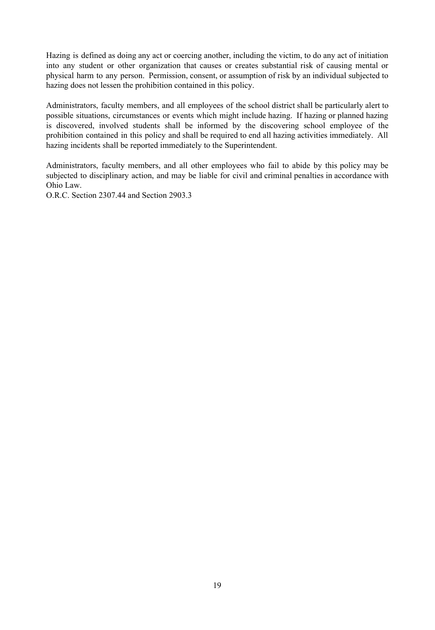Hazing is defined as doing any act or coercing another, including the victim, to do any act of initiation into any student or other organization that causes or creates substantial risk of causing mental or physical harm to any person. Permission, consent, or assumption of risk by an individual subjected to hazing does not lessen the prohibition contained in this policy.

Administrators, faculty members, and all employees of the school district shall be particularly alert to possible situations, circumstances or events which might include hazing. If hazing or planned hazing is discovered, involved students shall be informed by the discovering school employee of the prohibition contained in this policy and shall be required to end all hazing activities immediately. All hazing incidents shall be reported immediately to the Superintendent.

Administrators, faculty members, and all other employees who fail to abide by this policy may be subjected to disciplinary action, and may be liable for civil and criminal penalties in accordance with Ohio Law.

O.R.C. Section 2307.44 and Section 2903.3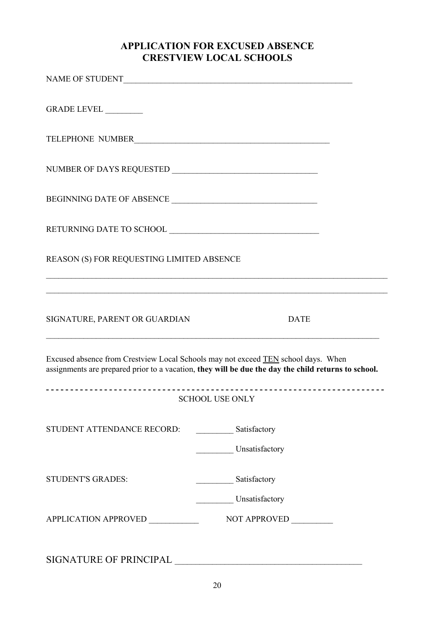## **APPLICATION FOR EXCUSED ABSENCE CRESTVIEW LOCAL SCHOOLS**

| GRADE LEVEL _________                     |                                                                                                                                                                                          |  |
|-------------------------------------------|------------------------------------------------------------------------------------------------------------------------------------------------------------------------------------------|--|
| TELEPHONE NUMBER                          |                                                                                                                                                                                          |  |
|                                           |                                                                                                                                                                                          |  |
| BEGINNING DATE OF ABSENCE                 |                                                                                                                                                                                          |  |
|                                           |                                                                                                                                                                                          |  |
| REASON (S) FOR REQUESTING LIMITED ABSENCE |                                                                                                                                                                                          |  |
|                                           |                                                                                                                                                                                          |  |
| SIGNATURE, PARENT OR GUARDIAN             | <b>DATE</b>                                                                                                                                                                              |  |
|                                           | Excused absence from Crestview Local Schools may not exceed TEN school days. When<br>assignments are prepared prior to a vacation, they will be due the day the child returns to school. |  |
|                                           | <b>SCHOOL USE ONLY</b>                                                                                                                                                                   |  |
| STUDENT ATTENDANCE RECORD:                | Satisfactory                                                                                                                                                                             |  |
|                                           | Unsatisfactory                                                                                                                                                                           |  |
| <b>STUDENT'S GRADES:</b>                  | Satisfactory                                                                                                                                                                             |  |
| APPLICATION APPROVED _________            | Unsatisfactory<br>NOT APPROVED ________                                                                                                                                                  |  |
| <b>SIGNATURE OF PRINCIPAL</b>             |                                                                                                                                                                                          |  |